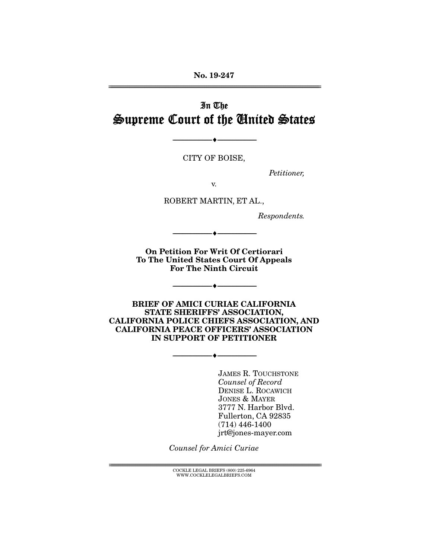No. 19-247 ================================================================================================================

# In The Supreme Court of the United States

CITY OF BOISE,

--------------------------------- ---------------------------------

*Petitioner,* 

v.

ROBERT MARTIN, ET AL.,

*Respondents.* 

On Petition For Writ Of Certiorari To The United States Court Of Appeals For The Ninth Circuit

 $\longrightarrow \hspace{-.2cm}\longrightarrow$ 

--------------------------------- ---------------------------------

BRIEF OF AMICI CURIAE CALIFORNIA STATE SHERIFFS' ASSOCIATION, CALIFORNIA POLICE CHIEFS ASSOCIATION, AND CALIFORNIA PEACE OFFICERS' ASSOCIATION IN SUPPORT OF PETITIONER

--------------------------------- ---------------------------------

JAMES R. TOUCHSTONE *Counsel of Record*  DENISE L. ROCAWICH JONES & MAYER 3777 N. Harbor Blvd. Fullerton, CA 92835 (714) 446-1400 jrt@jones-mayer.com

*Counsel for Amici Curiae* 

 ${COCKLE}$  LEGAL BRIEFS (800) 225-6964 WWW.COCKLELEGALBRIEFS.COM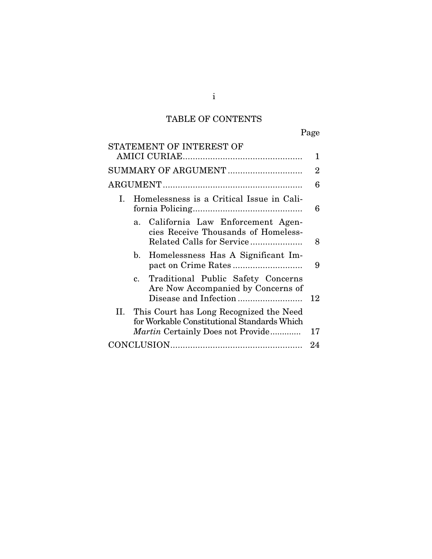# TABLE OF CONTENTS

Page

| STATEMENT OF INTEREST OF                                                                                                                  |    |
|-------------------------------------------------------------------------------------------------------------------------------------------|----|
|                                                                                                                                           | 1  |
|                                                                                                                                           | 2  |
|                                                                                                                                           | 6  |
| Homelessness is a Critical Issue in Cali-<br>I.                                                                                           | 6  |
| California Law Enforcement Agen-<br>a <sub>1</sub><br>cies Receive Thousands of Homeless-<br>Related Calls for Service                    | 8  |
| Homelessness Has A Significant Im-<br>$\mathbf{b}$ .                                                                                      | 9  |
| c. Traditional Public Safety Concerns<br>Are Now Accompanied by Concerns of                                                               | 12 |
| II.<br>This Court has Long Recognized the Need<br>for Workable Constitutional Standards Which<br><i>Martin</i> Certainly Does not Provide | 17 |
|                                                                                                                                           | 24 |

i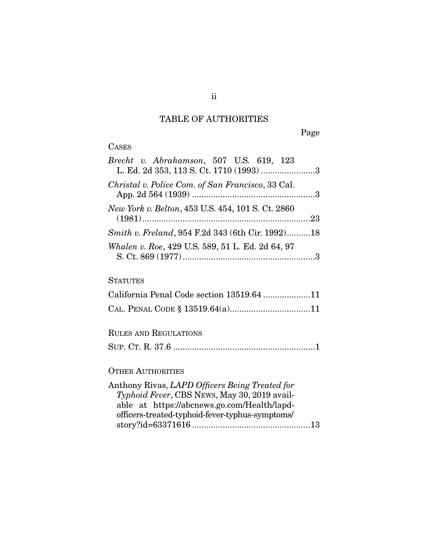### TABLE OF AUTHORITIES

Page

### CASES

| Brecht v. Abrahamson, 507 U.S. 619, 123<br>L. Ed. 2d 353, 113 S. Ct. 1710 (1993) 3 |  |
|------------------------------------------------------------------------------------|--|
| Christal v. Police Com. of San Francisco, 33 Cal.                                  |  |
| New York v. Belton, 453 U.S. 454, 101 S. Ct. 2860                                  |  |
| Smith v. Freland, 954 F.2d 343 (6th Cir. 1992)18                                   |  |
| Whalen v. Roe, 429 U.S. 589, 51 L. Ed. 2d 64, 97                                   |  |

### **STATUTES**

| California Penal Code section 13519.64 11 |  |
|-------------------------------------------|--|
|                                           |  |

### RULES AND REGULATIONS

SUP. CT. R. 37.6 ............................................................ 1

### OTHER AUTHORITIES

| Anthony Rivas, LAPD Officers Being Treated for  |  |
|-------------------------------------------------|--|
| Typhoid Fever, CBS NEWS, May 30, 2019 avail-    |  |
| able at https://abcnews.go.com/Health/lapd-     |  |
| officers-treated-typhoid-fever-typhus-symptoms/ |  |
|                                                 |  |
|                                                 |  |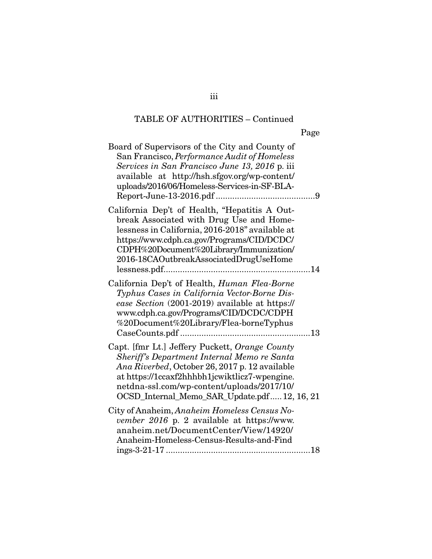| v. |  |
|----|--|

| Board of Supervisors of the City and County of<br>San Francisco, Performance Audit of Homeless<br>Services in San Francisco June 13, 2016 p. iii<br>available at http://hsh.sfgov.org/wp-content/<br>uploads/2016/06/Homeless-Services-in-SF-BLA-                                             |  |
|-----------------------------------------------------------------------------------------------------------------------------------------------------------------------------------------------------------------------------------------------------------------------------------------------|--|
| California Dep't of Health, "Hepatitis A Out-<br>break Associated with Drug Use and Home-<br>lessness in California, 2016-2018" available at<br>https://www.cdph.ca.gov/Programs/CID/DCDC/<br>CDPH%20Document%20Library/Immunization/<br>2016-18CAOutbreakAssociatedDrugUseHome               |  |
| California Dep't of Health, Human Flea-Borne<br>Typhus Cases in California Vector-Borne Dis-<br>ease Section (2001-2019) available at https://<br>www.cdph.ca.gov/Programs/CID/DCDC/CDPH<br>%20Document%20Library/Flea-borneTyphus                                                            |  |
| Capt. [fmr Lt.] Jeffery Puckett, Orange County<br>Sheriff's Department Internal Memo re Santa<br>Ana Riverbed, October 26, 2017 p. 12 available<br>at https://1ccaxf2hhhbh1jcwiktlicz7-wpengine.<br>netdna-ssl.com/wp-content/uploads/2017/10/<br>OCSD_Internal_Memo_SAR_Update.pdf12, 16, 21 |  |
| City of Anaheim, Anaheim Homeless Census No-<br>vember 2016 p. 2 available at https://www.<br>anaheim.net/DocumentCenter/View/14920/<br>Anaheim-Homeless-Census-Results-and-Find                                                                                                              |  |

iii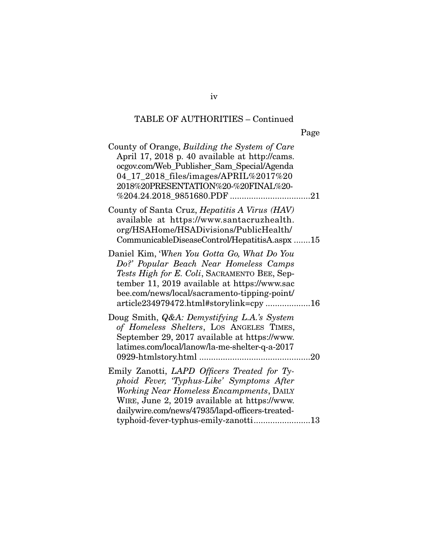| County of Orange, Building the System of Care<br>April 17, 2018 p. 40 available at http://cams.<br>ocgov.com/Web_Publisher_Sam_Special/Agenda<br>04_17_2018_files/images/APRIL%2017%20<br>2018%20PRESENTATION%20-%20FINAL%20-                                                    |
|----------------------------------------------------------------------------------------------------------------------------------------------------------------------------------------------------------------------------------------------------------------------------------|
| County of Santa Cruz, <i>Hepatitis A Virus (HAV)</i><br>available at https://www.santacruzhealth.<br>org/HSAHome/HSADivisions/PublicHealth/<br>CommunicableDiseaseControl/HepatitisA.aspx 15                                                                                     |
| Daniel Kim, 'When You Gotta Go, What Do You<br>Do?' Popular Beach Near Homeless Camps<br>Tests High for E. Coli, SACRAMENTO BEE, Sep-<br>tember 11, 2019 available at https://www.sac<br>bee.com/news/local/sacramento-tipping-point/<br>article234979472.html#storylink=cpy 16  |
| Doug Smith, <i>Q&amp;A: Demystifying L.A.'s System</i><br>of Homeless Shelters, LOS ANGELES TIMES,<br>September 29, 2017 available at https://www.<br>latimes.com/local/lanow/la-me-shelter-q-a-2017                                                                             |
| Emily Zanotti, LAPD Officers Treated for Ty-<br>phoid Fever, 'Typhus-Like' Symptoms After<br>Working Near Homeless Encampments, DAILY<br>WIRE, June 2, 2019 available at https://www.<br>dailywire.com/news/47935/lapd-officers-treated-<br>typhoid-fever-typhus-emily-zanotti13 |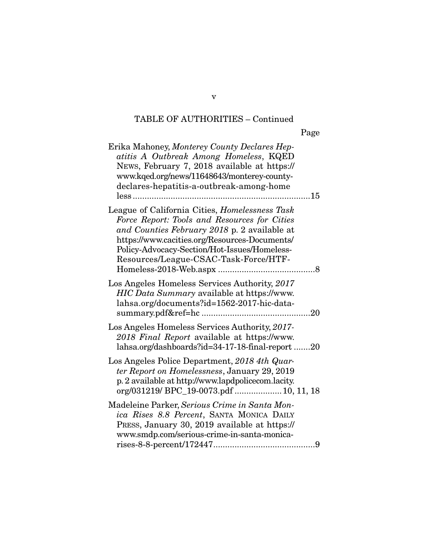| Erika Mahoney, Monterey County Declares Hep-<br>atitis A Outbreak Among Homeless, KQED<br>News, February 7, 2018 available at https://<br>www.kqed.org/news/11648643/monterey-county-<br>declares-hepatitis-a-outbreak-among-home                                                        |  |
|------------------------------------------------------------------------------------------------------------------------------------------------------------------------------------------------------------------------------------------------------------------------------------------|--|
| League of California Cities, Homelessness Task<br>Force Report: Tools and Resources for Cities<br>and Counties February 2018 p. 2 available at<br>https://www.cacities.org/Resources-Documents/<br>Policy-Advocacy-Section/Hot-Issues/Homeless-<br>Resources/League-CSAC-Task-Force/HTF- |  |
| Los Angeles Homeless Services Authority, 2017<br>HIC Data Summary available at https://www.<br>lahsa.org/documents?id=1562-2017-hic-data-                                                                                                                                                |  |
| Los Angeles Homeless Services Authority, 2017-<br>2018 Final Report available at https://www.<br>lahsa.org/dashboards?id=34-17-18-final-report 20                                                                                                                                        |  |
| Los Angeles Police Department, 2018 4th Quar-<br>ter Report on Homelessness, January 29, 2019<br>p. 2 available at http://www.lapdpolicecom.lacity.<br>org/031219/ BPC_19-0073.pdf  10, 11, 18                                                                                           |  |
| Madeleine Parker, Serious Crime in Santa Mon-<br>ica Rises 8.8 Percent, SANTA MONICA DAILY<br>PRESS, January 30, 2019 available at https://<br>www.smdp.com/serious-crime-in-santa-monica-                                                                                               |  |

v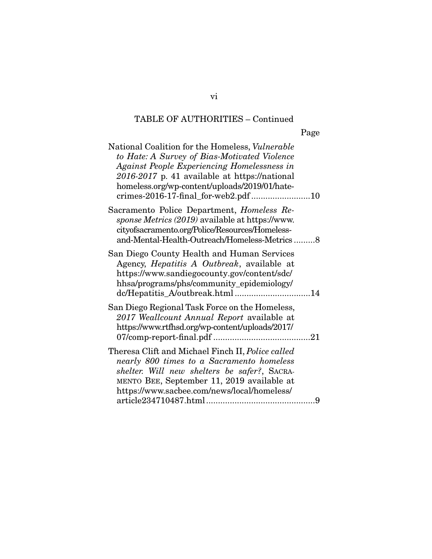| National Coalition for the Homeless, Vulnerable<br>to Hate: A Survey of Bias-Motivated Violence<br><b>Against People Experiencing Homelessness in</b><br>2016-2017 p. 41 available at https://national<br>homeless.org/wp-content/uploads/2019/01/hate-<br>crimes-2016-17-final_for-web2.pdf 10 |   |
|-------------------------------------------------------------------------------------------------------------------------------------------------------------------------------------------------------------------------------------------------------------------------------------------------|---|
| Sacramento Police Department, <i>Homeless Re-</i><br>sponse Metrics (2019) available at https://www.<br>cityofsacramento.org/Police/Resources/Homeless-<br>and-Mental-Health-Outreach/Homeless-Metrics8                                                                                         |   |
| San Diego County Health and Human Services<br>Agency, <i>Hepatitis A Outbreak</i> , available at<br>https://www.sandiegocounty.gov/content/sdc/<br>hhsa/programs/phs/community_epidemiology/<br>dc/Hepatitis_A/outbreak.html 14                                                                 |   |
| San Diego Regional Task Force on the Homeless,<br>2017 Weallcount Annual Report available at<br>https://www.rtfhsd.org/wp-content/uploads/2017/                                                                                                                                                 |   |
| Theresa Clift and Michael Finch II, Police called<br>nearly 800 times to a Sacramento homeless<br>shelter. Will new shelters be safer?, SACRA-<br>MENTO BEE, September 11, 2019 available at<br>https://www.sacbee.com/news/local/homeless/                                                     | 9 |

vi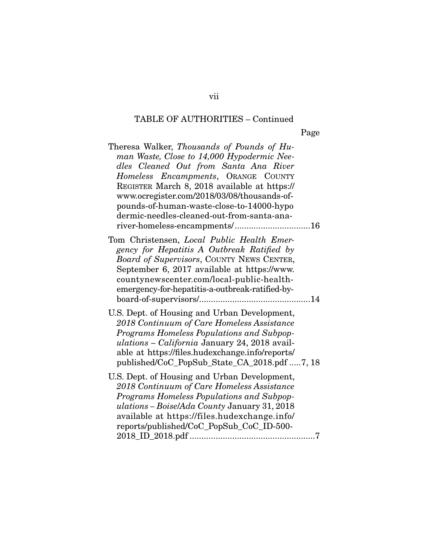Page

| Theresa Walker, Thousands of Pounds of Hu-<br>man Waste, Close to 14,000 Hypodermic Nee-<br>dles Cleaned Out from Santa Ana River<br>Homeless Encampments, ORANGE COUNTY<br>REGISTER March 8, 2018 available at https://<br>www.ocregister.com/2018/03/08/thousands-of-<br>pounds-of-human-waste-close-to-14000-hypo<br>dermic-needles-cleaned-out-from-santa-ana-<br>river-homeless-encampments/16 |  |
|-----------------------------------------------------------------------------------------------------------------------------------------------------------------------------------------------------------------------------------------------------------------------------------------------------------------------------------------------------------------------------------------------------|--|
| Tom Christensen, Local Public Health Emer-<br>gency for Hepatitis A Outbreak Ratified by<br>Board of Supervisors, COUNTY NEWS CENTER,<br>September 6, 2017 available at https://www.<br>countynewscenter.com/local-public-health-<br>emergency-for-hepatitis-a-outbreak-ratified-by-                                                                                                                |  |
| U.S. Dept. of Housing and Urban Development,<br>2018 Continuum of Care Homeless Assistance<br>Programs Homeless Populations and Subpop-<br>ulations - California January 24, 2018 avail-<br>able at https://files.hudexchange.info/reports/<br>published/CoC_PopSub_State_CA_2018.pdf 7, 18                                                                                                         |  |
| U.S. Dept. of Housing and Urban Development,<br>2018 Continuum of Care Homeless Assistance<br>Programs Homeless Populations and Subpop-<br>ulations - Boise/Ada County January 31, 2018<br>available at https://files.hudexchange.info/<br>reports/published/CoC_PopSub_CoC_ID-500-                                                                                                                 |  |

vii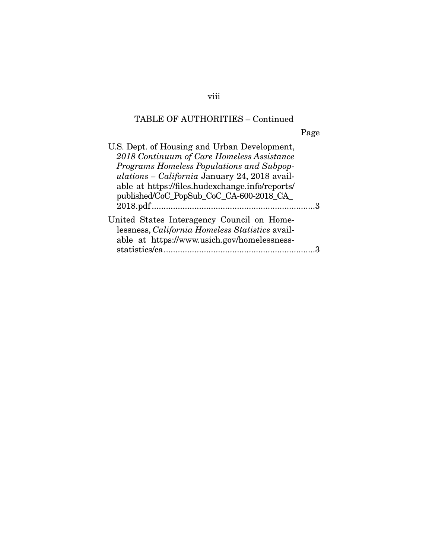Page

| U.S. Dept. of Housing and Urban Development,    |  |
|-------------------------------------------------|--|
| 2018 Continuum of Care Homeless Assistance      |  |
| Programs Homeless Populations and Subpop-       |  |
| ulations - California January 24, 2018 avail-   |  |
| able at https://files.hudexchange.info/reports/ |  |
| published/CoC_PopSub_CoC_CA-600-2018_CA_        |  |
|                                                 |  |
| United States Interagency Council on Home-      |  |
| lessness, California Homeless Statistics avail- |  |
| able at https://www.usich.gov/homelessness-     |  |
| statistics/ca.                                  |  |
|                                                 |  |

viii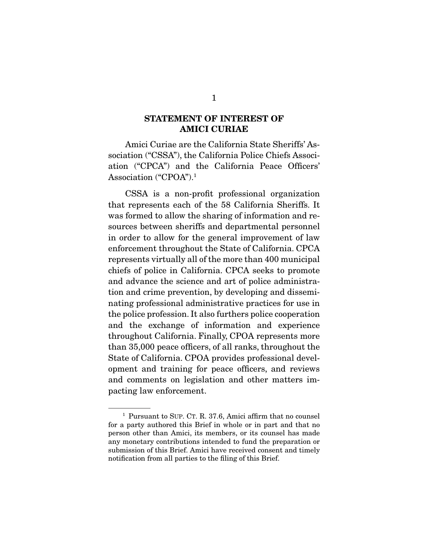#### STATEMENT OF INTEREST OF AMICI CURIAE

 Amici Curiae are the California State Sheriffs' Association ("CSSA"), the California Police Chiefs Association ("CPCA") and the California Peace Officers' Association ("CPOA").1

 CSSA is a non-profit professional organization that represents each of the 58 California Sheriffs. It was formed to allow the sharing of information and resources between sheriffs and departmental personnel in order to allow for the general improvement of law enforcement throughout the State of California. CPCA represents virtually all of the more than 400 municipal chiefs of police in California. CPCA seeks to promote and advance the science and art of police administration and crime prevention, by developing and disseminating professional administrative practices for use in the police profession. It also furthers police cooperation and the exchange of information and experience throughout California. Finally, CPOA represents more than 35,000 peace officers, of all ranks, throughout the State of California. CPOA provides professional development and training for peace officers, and reviews and comments on legislation and other matters impacting law enforcement.

<sup>1</sup> Pursuant to SUP. CT. R. 37.6, Amici affirm that no counsel for a party authored this Brief in whole or in part and that no person other than Amici, its members, or its counsel has made any monetary contributions intended to fund the preparation or submission of this Brief. Amici have received consent and timely notification from all parties to the filing of this Brief.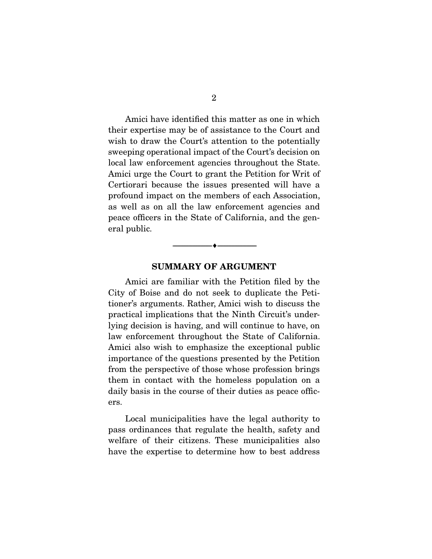Amici have identified this matter as one in which their expertise may be of assistance to the Court and wish to draw the Court's attention to the potentially sweeping operational impact of the Court's decision on local law enforcement agencies throughout the State. Amici urge the Court to grant the Petition for Writ of Certiorari because the issues presented will have a profound impact on the members of each Association, as well as on all the law enforcement agencies and peace officers in the State of California, and the general public.

#### SUMMARY OF ARGUMENT

--------------------------------- ---------------------------------

 Amici are familiar with the Petition filed by the City of Boise and do not seek to duplicate the Petitioner's arguments. Rather, Amici wish to discuss the practical implications that the Ninth Circuit's underlying decision is having, and will continue to have, on law enforcement throughout the State of California. Amici also wish to emphasize the exceptional public importance of the questions presented by the Petition from the perspective of those whose profession brings them in contact with the homeless population on a daily basis in the course of their duties as peace officers.

 Local municipalities have the legal authority to pass ordinances that regulate the health, safety and welfare of their citizens. These municipalities also have the expertise to determine how to best address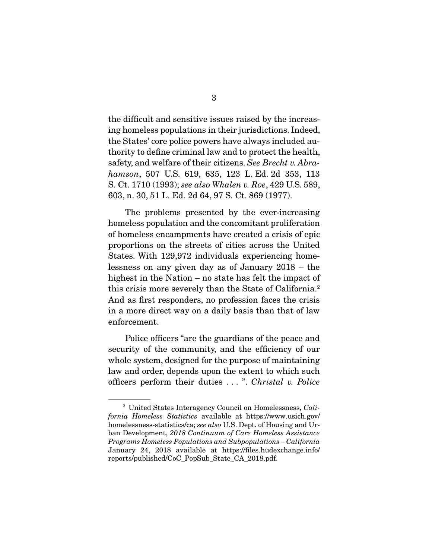the difficult and sensitive issues raised by the increasing homeless populations in their jurisdictions. Indeed, the States' core police powers have always included authority to define criminal law and to protect the health, safety, and welfare of their citizens. *See Brecht v. Abrahamson*, 507 U.S. 619, 635, 123 L. Ed. 2d 353, 113 S. Ct. 1710 (1993); *see also Whalen v. Roe*, 429 U.S. 589, 603, n. 30, 51 L. Ed. 2d 64, 97 S. Ct. 869 (1977).

 The problems presented by the ever-increasing homeless population and the concomitant proliferation of homeless encampments have created a crisis of epic proportions on the streets of cities across the United States. With 129,972 individuals experiencing homelessness on any given day as of January 2018 – the highest in the Nation – no state has felt the impact of this crisis more severely than the State of California.2 And as first responders, no profession faces the crisis in a more direct way on a daily basis than that of law enforcement.

 Police officers "are the guardians of the peace and security of the community, and the efficiency of our whole system, designed for the purpose of maintaining law and order, depends upon the extent to which such officers perform their duties . . . ". *Christal v. Police* 

<sup>2</sup> United States Interagency Council on Homelessness, *California Homeless Statistics* available at https://www.usich.gov/ homelessness-statistics/ca; *see also* U.S. Dept. of Housing and Urban Development, *2018 Continuum of Care Homeless Assistance Programs Homeless Populations and Subpopulations – California*  January 24, 2018 available at https://files.hudexchange.info/ reports/published/CoC\_PopSub\_State\_CA\_2018.pdf.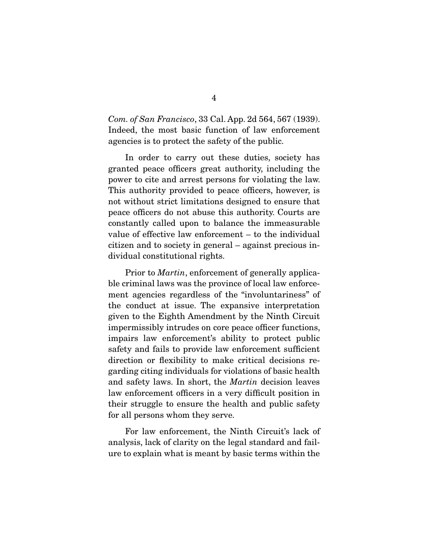*Com. of San Francisco*, 33 Cal. App. 2d 564, 567 (1939). Indeed, the most basic function of law enforcement agencies is to protect the safety of the public.

 In order to carry out these duties, society has granted peace officers great authority, including the power to cite and arrest persons for violating the law. This authority provided to peace officers, however, is not without strict limitations designed to ensure that peace officers do not abuse this authority. Courts are constantly called upon to balance the immeasurable value of effective law enforcement – to the individual citizen and to society in general – against precious individual constitutional rights.

 Prior to *Martin*, enforcement of generally applicable criminal laws was the province of local law enforcement agencies regardless of the "involuntariness" of the conduct at issue. The expansive interpretation given to the Eighth Amendment by the Ninth Circuit impermissibly intrudes on core peace officer functions, impairs law enforcement's ability to protect public safety and fails to provide law enforcement sufficient direction or flexibility to make critical decisions regarding citing individuals for violations of basic health and safety laws. In short, the *Martin* decision leaves law enforcement officers in a very difficult position in their struggle to ensure the health and public safety for all persons whom they serve.

 For law enforcement, the Ninth Circuit's lack of analysis, lack of clarity on the legal standard and failure to explain what is meant by basic terms within the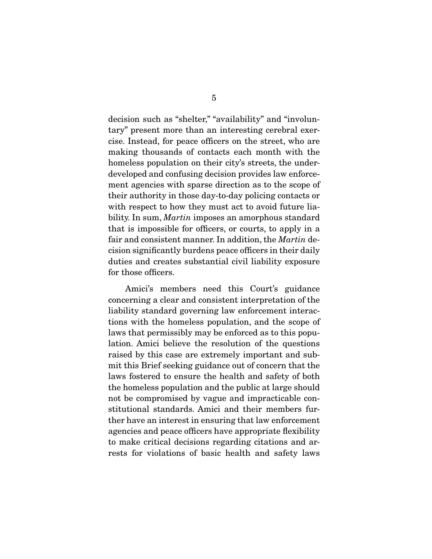decision such as "shelter," "availability" and "involuntary" present more than an interesting cerebral exercise. Instead, for peace officers on the street, who are making thousands of contacts each month with the homeless population on their city's streets, the underdeveloped and confusing decision provides law enforcement agencies with sparse direction as to the scope of their authority in those day-to-day policing contacts or with respect to how they must act to avoid future liability. In sum, *Martin* imposes an amorphous standard that is impossible for officers, or courts, to apply in a fair and consistent manner. In addition, the *Martin* decision significantly burdens peace officers in their daily duties and creates substantial civil liability exposure for those officers.

 Amici's members need this Court's guidance concerning a clear and consistent interpretation of the liability standard governing law enforcement interactions with the homeless population, and the scope of laws that permissibly may be enforced as to this population. Amici believe the resolution of the questions raised by this case are extremely important and submit this Brief seeking guidance out of concern that the laws fostered to ensure the health and safety of both the homeless population and the public at large should not be compromised by vague and impracticable constitutional standards. Amici and their members further have an interest in ensuring that law enforcement agencies and peace officers have appropriate flexibility to make critical decisions regarding citations and arrests for violations of basic health and safety laws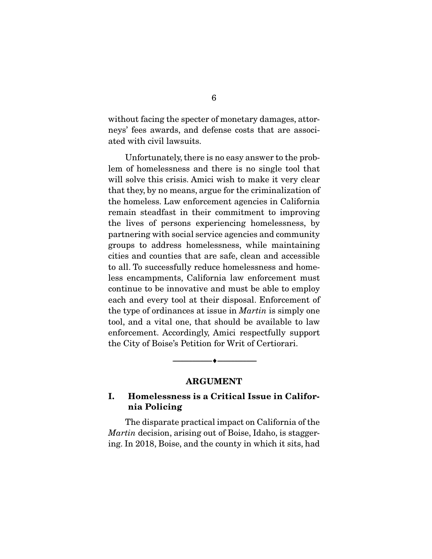without facing the specter of monetary damages, attorneys' fees awards, and defense costs that are associated with civil lawsuits.

 Unfortunately, there is no easy answer to the problem of homelessness and there is no single tool that will solve this crisis. Amici wish to make it very clear that they, by no means, argue for the criminalization of the homeless. Law enforcement agencies in California remain steadfast in their commitment to improving the lives of persons experiencing homelessness, by partnering with social service agencies and community groups to address homelessness, while maintaining cities and counties that are safe, clean and accessible to all. To successfully reduce homelessness and homeless encampments, California law enforcement must continue to be innovative and must be able to employ each and every tool at their disposal. Enforcement of the type of ordinances at issue in *Martin* is simply one tool, and a vital one, that should be available to law enforcement. Accordingly, Amici respectfully support the City of Boise's Petition for Writ of Certiorari.

#### ARGUMENT

--------------------------------- ---------------------------------

### I. Homelessness is a Critical Issue in California Policing

 The disparate practical impact on California of the *Martin* decision, arising out of Boise, Idaho, is staggering. In 2018, Boise, and the county in which it sits, had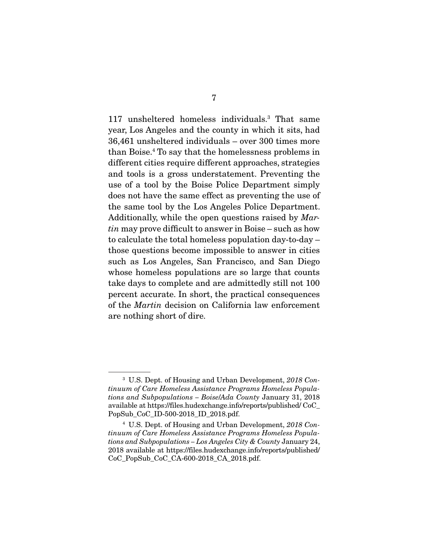117 unsheltered homeless individuals.3 That same year, Los Angeles and the county in which it sits, had 36,461 unsheltered individuals – over 300 times more than Boise.4 To say that the homelessness problems in different cities require different approaches, strategies and tools is a gross understatement. Preventing the use of a tool by the Boise Police Department simply does not have the same effect as preventing the use of the same tool by the Los Angeles Police Department. Additionally, while the open questions raised by *Martin* may prove difficult to answer in Boise – such as how to calculate the total homeless population day-to-day – those questions become impossible to answer in cities such as Los Angeles, San Francisco, and San Diego whose homeless populations are so large that counts take days to complete and are admittedly still not 100 percent accurate. In short, the practical consequences of the *Martin* decision on California law enforcement are nothing short of dire.

<sup>3</sup> U.S. Dept. of Housing and Urban Development, *2018 Continuum of Care Homeless Assistance Programs Homeless Populations and Subpopulations – Boise*/*Ada County* January 31, 2018 available at https://files.hudexchange.info/reports/published/ CoC\_ PopSub\_CoC\_ID-500-2018\_ID\_2018.pdf.

<sup>4</sup> U.S. Dept. of Housing and Urban Development, *2018 Continuum of Care Homeless Assistance Programs Homeless Populations and Subpopulations – Los Angeles City & County* January 24, 2018 available at https://files.hudexchange.info/reports/published/ CoC\_PopSub\_CoC\_CA-600-2018\_CA\_2018.pdf.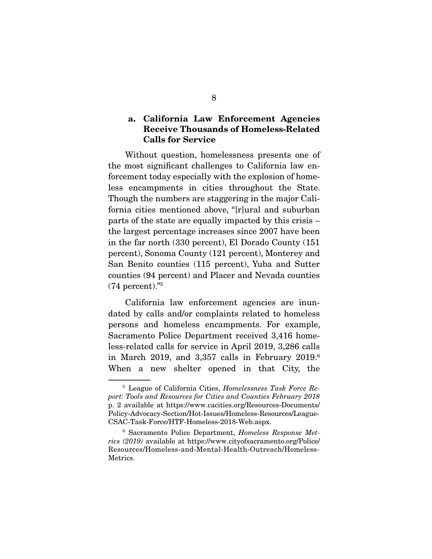#### a. California Law Enforcement Agencies Receive Thousands of Homeless-Related Calls for Service

 Without question, homelessness presents one of the most significant challenges to California law enforcement today especially with the explosion of homeless encampments in cities throughout the State. Though the numbers are staggering in the major California cities mentioned above, "[r]ural and suburban parts of the state are equally impacted by this crisis – the largest percentage increases since 2007 have been in the far north (330 percent), El Dorado County (151 percent), Sonoma County (121 percent), Monterey and San Benito counties (115 percent), Yuba and Sutter counties (94 percent) and Placer and Nevada counties  $(74$  percent)."<sup>5</sup>

 California law enforcement agencies are inundated by calls and/or complaints related to homeless persons and homeless encampments. For example, Sacramento Police Department received 3,416 homeless-related calls for service in April 2019, 3,286 calls in March 2019, and 3,357 calls in February 2019.6 When a new shelter opened in that City, the

<sup>5</sup> League of California Cities, *Homelessness Task Force Report: Tools and Resources for Cities and Counties February 2018* p. 2 available at https://www.cacities.org/Resources-Documents/ Policy-Advocacy-Section/Hot-Issues/Homeless-Resources/League-CSAC-Task-Force/HTF-Homeless-2018-Web.aspx.

<sup>6</sup> Sacramento Police Department, *Homeless Response Metrics (2019)* available at https://www.cityofsacramento.org/Police/ Resources/Homeless-and-Mental-Health-Outreach/Homeless-Metrics.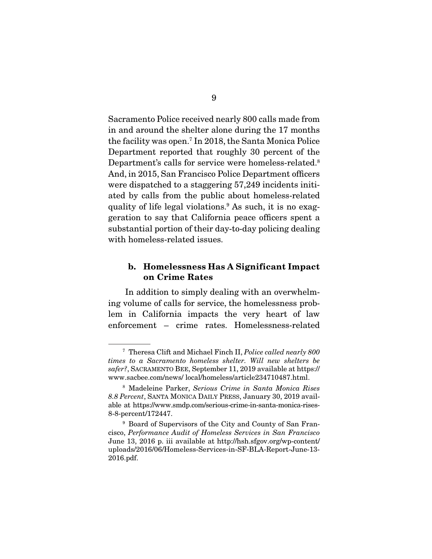Sacramento Police received nearly 800 calls made from in and around the shelter alone during the 17 months the facility was open.7 In 2018, the Santa Monica Police Department reported that roughly 30 percent of the Department's calls for service were homeless-related.8 And, in 2015, San Francisco Police Department officers were dispatched to a staggering 57,249 incidents initiated by calls from the public about homeless-related quality of life legal violations.9 As such, it is no exaggeration to say that California peace officers spent a substantial portion of their day-to-day policing dealing with homeless-related issues.

#### b. Homelessness Has A Significant Impact on Crime Rates

 In addition to simply dealing with an overwhelming volume of calls for service, the homelessness problem in California impacts the very heart of law enforcement – crime rates. Homelessness-related

<sup>7</sup> Theresa Clift and Michael Finch II, *Police called nearly 800 times to a Sacramento homeless shelter. Will new shelters be safer?*, SACRAMENTO BEE, September 11, 2019 available at https:// www.sacbee.com/news/ local/homeless/article234710487.html.

<sup>8</sup> Madeleine Parker, *Serious Crime in Santa Monica Rises 8.8 Percent*, SANTA MONICA DAILY PRESS, January 30, 2019 available at https://www.smdp.com/serious-crime-in-santa-monica-rises-8-8-percent/172447.

<sup>&</sup>lt;sup>9</sup> Board of Supervisors of the City and County of San Francisco, *Performance Audit of Homeless Services in San Francisco*  June 13, 2016 p. iii available at http://hsh.sfgov.org/wp-content/ uploads/2016/06/Homeless-Services-in-SF-BLA-Report-June-13- 2016.pdf.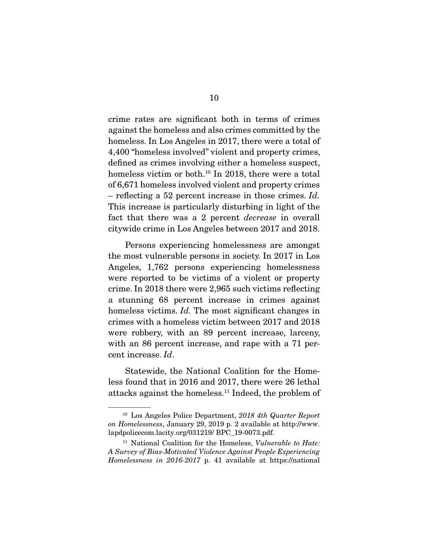crime rates are significant both in terms of crimes against the homeless and also crimes committed by the homeless. In Los Angeles in 2017, there were a total of 4,400 "homeless involved" violent and property crimes, defined as crimes involving either a homeless suspect, homeless victim or both.<sup>10</sup> In 2018, there were a total of 6,671 homeless involved violent and property crimes – reflecting a 52 percent increase in those crimes. *Id.* This increase is particularly disturbing in light of the fact that there was a 2 percent *decrease* in overall citywide crime in Los Angeles between 2017 and 2018.

 Persons experiencing homelessness are amongst the most vulnerable persons in society. In 2017 in Los Angeles, 1,762 persons experiencing homelessness were reported to be victims of a violent or property crime. In 2018 there were 2,965 such victims reflecting a stunning 68 percent increase in crimes against homeless victims. *Id*. The most significant changes in crimes with a homeless victim between 2017 and 2018 were robbery, with an 89 percent increase, larceny, with an 86 percent increase, and rape with a 71 percent increase. *Id*.

 Statewide, the National Coalition for the Homeless found that in 2016 and 2017, there were 26 lethal attacks against the homeless.11 Indeed, the problem of

<sup>10</sup> Los Angeles Police Department, *2018 4th Quarter Report on Homelessness*, January 29, 2019 p. 2 available at http://www. lapdpolicecom.lacity.org/031219/ BPC\_19-0073.pdf.

<sup>11</sup> National Coalition for the Homeless, *Vulnerable to Hate: A Survey of Bias-Motivated Violence Against People Experiencing Homelessness in 2016-2017* p. 41 available at https://national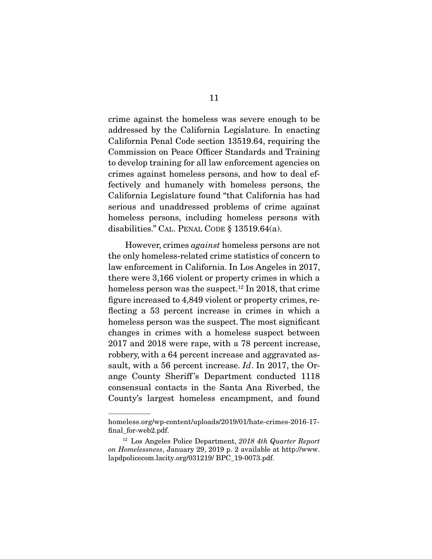crime against the homeless was severe enough to be addressed by the California Legislature. In enacting California Penal Code section 13519.64, requiring the Commission on Peace Officer Standards and Training to develop training for all law enforcement agencies on crimes against homeless persons, and how to deal effectively and humanely with homeless persons, the California Legislature found "that California has had serious and unaddressed problems of crime against homeless persons, including homeless persons with disabilities." CAL. PENAL CODE § 13519.64(a).

 However, crimes *against* homeless persons are not the only homeless-related crime statistics of concern to law enforcement in California. In Los Angeles in 2017, there were 3,166 violent or property crimes in which a homeless person was the suspect.<sup>12</sup> In 2018, that crime figure increased to 4,849 violent or property crimes, reflecting a 53 percent increase in crimes in which a homeless person was the suspect. The most significant changes in crimes with a homeless suspect between 2017 and 2018 were rape, with a 78 percent increase, robbery, with a 64 percent increase and aggravated assault, with a 56 percent increase. *Id*. In 2017, the Orange County Sheriff 's Department conducted 1118 consensual contacts in the Santa Ana Riverbed, the County's largest homeless encampment, and found

homeless.org/wp-content/uploads/2019/01/hate-crimes-2016-17 final\_for-web2.pdf.

<sup>12</sup> Los Angeles Police Department, *2018 4th Quarter Report on Homelessness*, January 29, 2019 p. 2 available at http://www. lapdpolicecom.lacity.org/031219/ BPC\_19-0073.pdf.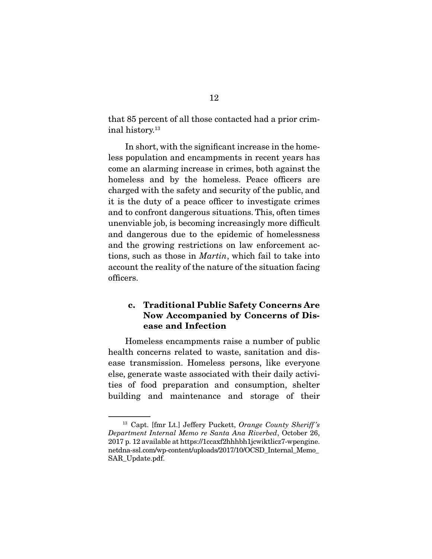that 85 percent of all those contacted had a prior criminal history.13

 In short, with the significant increase in the homeless population and encampments in recent years has come an alarming increase in crimes, both against the homeless and by the homeless. Peace officers are charged with the safety and security of the public, and it is the duty of a peace officer to investigate crimes and to confront dangerous situations. This, often times unenviable job, is becoming increasingly more difficult and dangerous due to the epidemic of homelessness and the growing restrictions on law enforcement actions, such as those in *Martin*, which fail to take into account the reality of the nature of the situation facing officers.

### c. Traditional Public Safety Concerns Are Now Accompanied by Concerns of Disease and Infection

 Homeless encampments raise a number of public health concerns related to waste, sanitation and disease transmission. Homeless persons, like everyone else, generate waste associated with their daily activities of food preparation and consumption, shelter building and maintenance and storage of their

<sup>13</sup> Capt. [fmr Lt.] Jeffery Puckett, *Orange County Sheriff 's Department Internal Memo re Santa Ana Riverbed*, October 26, 2017 p. 12 available at https://1ccaxf2hhhbh1jcwiktlicz7-wpengine. netdna-ssl.com/wp-content/uploads/2017/10/OCSD\_Internal\_Memo\_ SAR\_Update.pdf.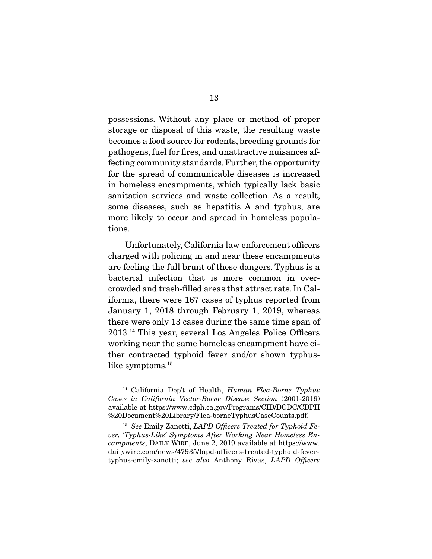possessions. Without any place or method of proper storage or disposal of this waste, the resulting waste becomes a food source for rodents, breeding grounds for pathogens, fuel for fires, and unattractive nuisances affecting community standards. Further, the opportunity for the spread of communicable diseases is increased in homeless encampments, which typically lack basic sanitation services and waste collection. As a result, some diseases, such as hepatitis A and typhus, are more likely to occur and spread in homeless populations.

 Unfortunately, California law enforcement officers charged with policing in and near these encampments are feeling the full brunt of these dangers. Typhus is a bacterial infection that is more common in overcrowded and trash-filled areas that attract rats. In California, there were 167 cases of typhus reported from January 1, 2018 through February 1, 2019, whereas there were only 13 cases during the same time span of 2013.14 This year, several Los Angeles Police Officers working near the same homeless encampment have either contracted typhoid fever and/or shown typhuslike symptoms.<sup>15</sup>

<sup>14</sup> California Dep't of Health, *Human Flea-Borne Typhus Cases in California Vector-Borne Disease Section* (2001-2019) available at https://www.cdph.ca.gov/Programs/CID/DCDC/CDPH %20Document%20Library/Flea-borneTyphusCaseCounts.pdf.

<sup>15</sup> *See* Emily Zanotti, *LAPD Officers Treated for Typhoid Fever, 'Typhus-Like' Symptoms After Working Near Homeless Encampments*, DAILY WIRE, June 2, 2019 available at https://www. dailywire.com/news/47935/lapd-officers-treated-typhoid-fevertyphus-emily-zanotti; *see also* Anthony Rivas, *LAPD Officers*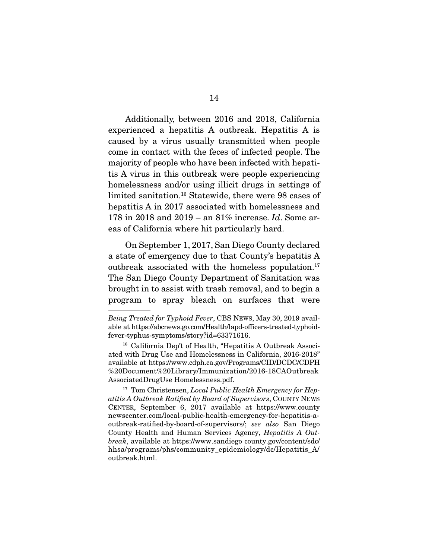Additionally, between 2016 and 2018, California experienced a hepatitis A outbreak. Hepatitis A is caused by a virus usually transmitted when people come in contact with the feces of infected people. The majority of people who have been infected with hepatitis A virus in this outbreak were people experiencing homelessness and/or using illicit drugs in settings of limited sanitation.16 Statewide, there were 98 cases of hepatitis A in 2017 associated with homelessness and 178 in 2018 and 2019 – an 81% increase. *Id*. Some areas of California where hit particularly hard.

 On September 1, 2017, San Diego County declared a state of emergency due to that County's hepatitis A outbreak associated with the homeless population.<sup>17</sup> The San Diego County Department of Sanitation was brought in to assist with trash removal, and to begin a program to spray bleach on surfaces that were

*Being Treated for Typhoid Fever*, CBS NEWS, May 30, 2019 available at https://abcnews.go.com/Health/lapd-officers-treated-typhoidfever-typhus-symptoms/story?id=63371616.

<sup>&</sup>lt;sup>16</sup> California Dep't of Health, "Hepatitis A Outbreak Associated with Drug Use and Homelessness in California, 2016-2018" available at https://www.cdph.ca.gov/Programs/CID/DCDC/CDPH %20Document%20Library/Immunization/2016-18CAOutbreak AssociatedDrugUse Homelessness.pdf.

<sup>17</sup> Tom Christensen, *Local Public Health Emergency for Hepatitis A Outbreak Ratified by Board of Supervisors*, COUNTY NEWS CENTER, September 6, 2017 available at https://www.county newscenter.com/local-public-health-emergency-for-hepatitis-aoutbreak-ratified-by-board-of-supervisors/; *see also* San Diego County Health and Human Services Agency, *Hepatitis A Outbreak*, available at https://www.sandiego county.gov/content/sdc/ hhsa/programs/phs/community\_epidemiology/dc/Hepatitis\_A/ outbreak.html.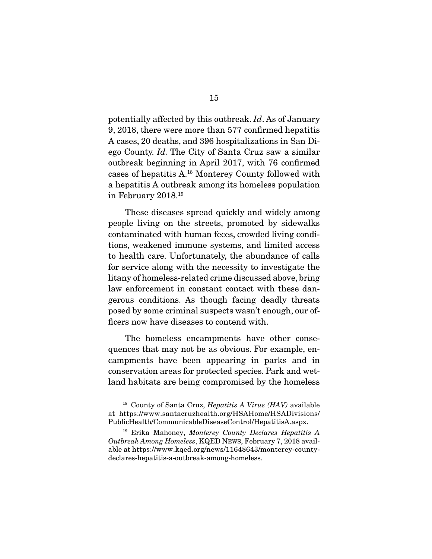potentially affected by this outbreak. *Id*. As of January 9, 2018, there were more than 577 confirmed hepatitis A cases, 20 deaths, and 396 hospitalizations in San Diego County. *Id*. The City of Santa Cruz saw a similar outbreak beginning in April 2017, with 76 confirmed cases of hepatitis A.18 Monterey County followed with a hepatitis A outbreak among its homeless population in February 2018.19

 These diseases spread quickly and widely among people living on the streets, promoted by sidewalks contaminated with human feces, crowded living conditions, weakened immune systems, and limited access to health care. Unfortunately, the abundance of calls for service along with the necessity to investigate the litany of homeless-related crime discussed above, bring law enforcement in constant contact with these dangerous conditions. As though facing deadly threats posed by some criminal suspects wasn't enough, our officers now have diseases to contend with.

 The homeless encampments have other consequences that may not be as obvious. For example, encampments have been appearing in parks and in conservation areas for protected species. Park and wetland habitats are being compromised by the homeless

<sup>18</sup> County of Santa Cruz, *Hepatitis A Virus (HAV)* available at https://www.santacruzhealth.org/HSAHome/HSADivisions/ PublicHealth/CommunicableDiseaseControl/HepatitisA.aspx.

<sup>19</sup> Erika Mahoney, *Monterey County Declares Hepatitis A Outbreak Among Homeless*, KQED NEWS, February 7, 2018 available at https://www.kqed.org/news/11648643/monterey-countydeclares-hepatitis-a-outbreak-among-homeless.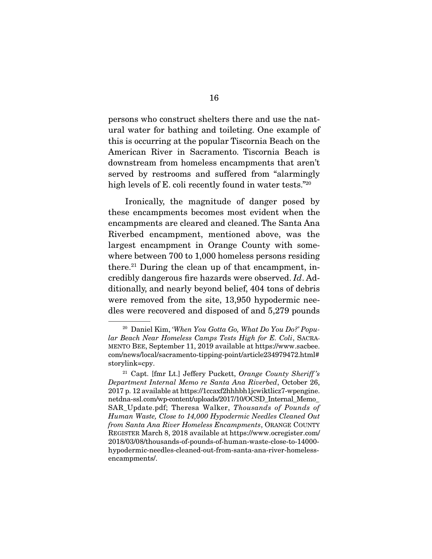persons who construct shelters there and use the natural water for bathing and toileting. One example of this is occurring at the popular Tiscornia Beach on the American River in Sacramento. Tiscornia Beach is downstream from homeless encampments that aren't served by restrooms and suffered from "alarmingly high levels of E. coli recently found in water tests."20

 Ironically, the magnitude of danger posed by these encampments becomes most evident when the encampments are cleared and cleaned. The Santa Ana Riverbed encampment, mentioned above, was the largest encampment in Orange County with somewhere between 700 to 1,000 homeless persons residing there.<sup>21</sup> During the clean up of that encampment, incredibly dangerous fire hazards were observed. *Id*. Additionally, and nearly beyond belief, 404 tons of debris were removed from the site, 13,950 hypodermic needles were recovered and disposed of and 5,279 pounds

<sup>20</sup> Daniel Kim, '*When You Gotta Go, What Do You Do?' Popular Beach Near Homeless Camps Tests High for E. Coli*, SACRA-MENTO BEE, September 11, 2019 available at https://www.sacbee. com/news/local/sacramento-tipping-point/article234979472.html# storylink=cpy.

<sup>21</sup> Capt. [fmr Lt.] Jeffery Puckett, *Orange County Sheriff 's Department Internal Memo re Santa Ana Riverbed*, October 26, 2017 p. 12 available at https://1ccaxf2hhhbh1jcwiktlicz7-wpengine. netdna-ssl.com/wp-content/uploads/2017/10/OCSD\_Internal\_Memo\_ SAR\_Update.pdf; Theresa Walker, *Thousands of Pounds of Human Waste, Close to 14,000 Hypodermic Needles Cleaned Out from Santa Ana River Homeless Encampments*, ORANGE COUNTY REGISTER March 8, 2018 available at https://www.ocregister.com/ 2018/03/08/thousands-of-pounds-of-human-waste-close-to-14000 hypodermic-needles-cleaned-out-from-santa-ana-river-homelessencampments/.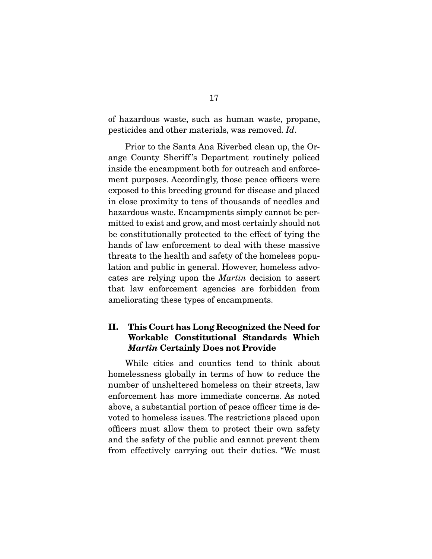of hazardous waste, such as human waste, propane, pesticides and other materials, was removed. *Id*.

 Prior to the Santa Ana Riverbed clean up, the Orange County Sheriff 's Department routinely policed inside the encampment both for outreach and enforcement purposes. Accordingly, those peace officers were exposed to this breeding ground for disease and placed in close proximity to tens of thousands of needles and hazardous waste. Encampments simply cannot be permitted to exist and grow, and most certainly should not be constitutionally protected to the effect of tying the hands of law enforcement to deal with these massive threats to the health and safety of the homeless population and public in general. However, homeless advocates are relying upon the *Martin* decision to assert that law enforcement agencies are forbidden from ameliorating these types of encampments.

### II. This Court has Long Recognized the Need for Workable Constitutional Standards Which *Martin* Certainly Does not Provide

 While cities and counties tend to think about homelessness globally in terms of how to reduce the number of unsheltered homeless on their streets, law enforcement has more immediate concerns. As noted above, a substantial portion of peace officer time is devoted to homeless issues. The restrictions placed upon officers must allow them to protect their own safety and the safety of the public and cannot prevent them from effectively carrying out their duties. "We must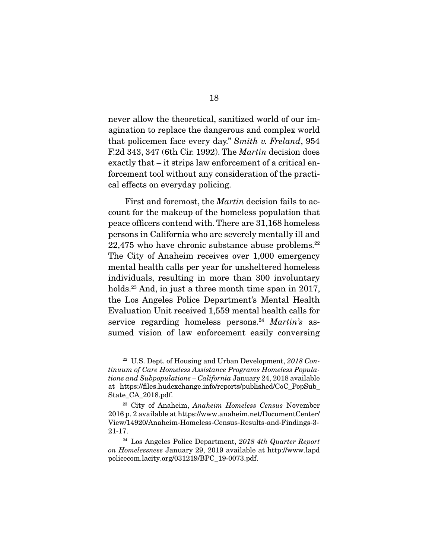never allow the theoretical, sanitized world of our imagination to replace the dangerous and complex world that policemen face every day." *Smith v. Freland*, 954 F.2d 343, 347 (6th Cir. 1992). The *Martin* decision does exactly that – it strips law enforcement of a critical enforcement tool without any consideration of the practical effects on everyday policing.

 First and foremost, the *Martin* decision fails to account for the makeup of the homeless population that peace officers contend with. There are 31,168 homeless persons in California who are severely mentally ill and  $22,475$  who have chronic substance abuse problems.<sup>22</sup> The City of Anaheim receives over 1,000 emergency mental health calls per year for unsheltered homeless individuals, resulting in more than 300 involuntary holds.<sup>23</sup> And, in just a three month time span in 2017, the Los Angeles Police Department's Mental Health Evaluation Unit received 1,559 mental health calls for service regarding homeless persons.<sup>24</sup> Martin's assumed vision of law enforcement easily conversing

<sup>22</sup> U.S. Dept. of Housing and Urban Development, *2018 Continuum of Care Homeless Assistance Programs Homeless Populations and Subpopulations – California* January 24, 2018 available at https://files.hudexchange.info/reports/published/CoC\_PopSub\_ State\_CA\_2018.pdf.

<sup>23</sup> City of Anaheim, *Anaheim Homeless Census* November 2016 p. 2 available at https://www.anaheim.net/DocumentCenter/ View/14920/Anaheim-Homeless-Census-Results-and-Findings-3- 21-17.

<sup>24</sup> Los Angeles Police Department, *2018 4th Quarter Report on Homelessness* January 29, 2019 available at http://www.lapd policecom.lacity.org/031219/BPC\_19-0073.pdf.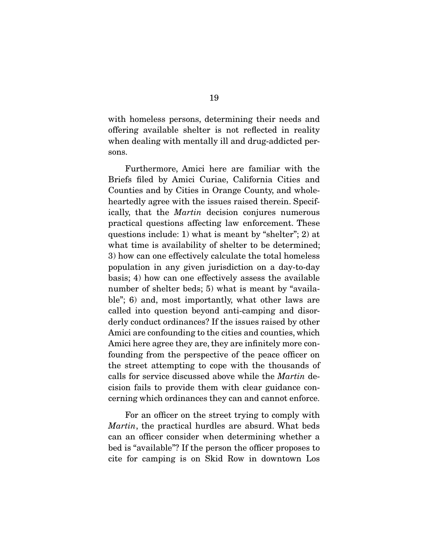with homeless persons, determining their needs and offering available shelter is not reflected in reality when dealing with mentally ill and drug-addicted persons.

 Furthermore, Amici here are familiar with the Briefs filed by Amici Curiae, California Cities and Counties and by Cities in Orange County, and wholeheartedly agree with the issues raised therein. Specifically, that the *Martin* decision conjures numerous practical questions affecting law enforcement. These questions include: 1) what is meant by "shelter"; 2) at what time is availability of shelter to be determined; 3) how can one effectively calculate the total homeless population in any given jurisdiction on a day-to-day basis; 4) how can one effectively assess the available number of shelter beds; 5) what is meant by "available"; 6) and, most importantly, what other laws are called into question beyond anti-camping and disorderly conduct ordinances? If the issues raised by other Amici are confounding to the cities and counties, which Amici here agree they are, they are infinitely more confounding from the perspective of the peace officer on the street attempting to cope with the thousands of calls for service discussed above while the *Martin* decision fails to provide them with clear guidance concerning which ordinances they can and cannot enforce.

 For an officer on the street trying to comply with *Martin*, the practical hurdles are absurd. What beds can an officer consider when determining whether a bed is "available"? If the person the officer proposes to cite for camping is on Skid Row in downtown Los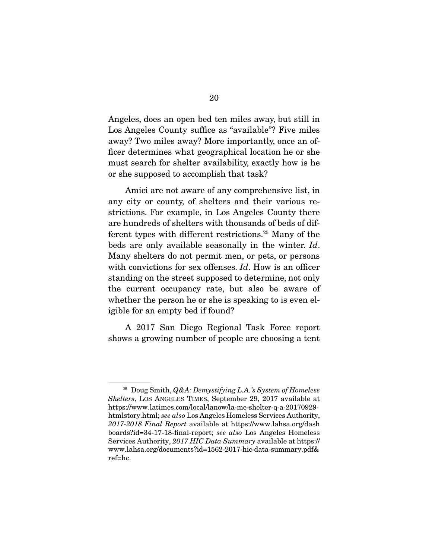Angeles, does an open bed ten miles away, but still in Los Angeles County suffice as "available"? Five miles away? Two miles away? More importantly, once an officer determines what geographical location he or she must search for shelter availability, exactly how is he or she supposed to accomplish that task?

 Amici are not aware of any comprehensive list, in any city or county, of shelters and their various restrictions. For example, in Los Angeles County there are hundreds of shelters with thousands of beds of different types with different restrictions.25 Many of the beds are only available seasonally in the winter. *Id*. Many shelters do not permit men, or pets, or persons with convictions for sex offenses. *Id*. How is an officer standing on the street supposed to determine, not only the current occupancy rate, but also be aware of whether the person he or she is speaking to is even eligible for an empty bed if found?

 A 2017 San Diego Regional Task Force report shows a growing number of people are choosing a tent

<sup>25</sup> Doug Smith, *Q&A: Demystifying L.A.'s System of Homeless Shelters*, LOS ANGELES TIMES, September 29, 2017 available at https://www.latimes.com/local/lanow/la-me-shelter-q-a-20170929 htmlstory.html; *see also* Los Angeles Homeless Services Authority, *2017-2018 Final Report* available at https://www.lahsa.org/dash boards?id=34-17-18-final-report; *see also* Los Angeles Homeless Services Authority, *2017 HIC Data Summary* available at https:// www.lahsa.org/documents?id=1562-2017-hic-data-summary.pdf& ref=hc.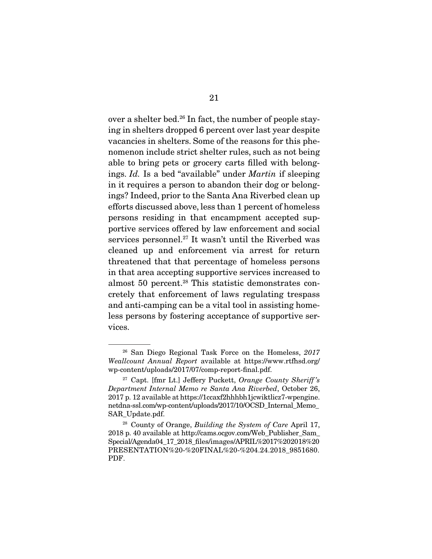over a shelter bed.26 In fact, the number of people staying in shelters dropped 6 percent over last year despite vacancies in shelters. Some of the reasons for this phenomenon include strict shelter rules, such as not being able to bring pets or grocery carts filled with belongings. *Id.* Is a bed "available" under *Martin* if sleeping in it requires a person to abandon their dog or belongings? Indeed, prior to the Santa Ana Riverbed clean up efforts discussed above, less than 1 percent of homeless persons residing in that encampment accepted supportive services offered by law enforcement and social services personnel.<sup>27</sup> It wasn't until the Riverbed was cleaned up and enforcement via arrest for return threatened that that percentage of homeless persons in that area accepting supportive services increased to almost 50 percent.28 This statistic demonstrates concretely that enforcement of laws regulating trespass and anti-camping can be a vital tool in assisting homeless persons by fostering acceptance of supportive services.

<sup>26</sup> San Diego Regional Task Force on the Homeless, *2017 Weallcount Annual Report* available at https://www.rtfhsd.org/ wp-content/uploads/2017/07/comp-report-final.pdf.

<sup>27</sup> Capt. [fmr Lt.] Jeffery Puckett, *Orange County Sheriff 's Department Internal Memo re Santa Ana Riverbed*, October 26, 2017 p. 12 available at https://1ccaxf2hhhbh1jcwiktlicz7-wpengine. netdna-ssl.com/wp-content/uploads/2017/10/OCSD\_Internal\_Memo\_ SAR\_Update.pdf.

<sup>28</sup> County of Orange, *Building the System of Care* April 17, 2018 p. 40 available at http://cams.ocgov.com/Web\_Publisher\_Sam\_ Special/Agenda04\_17\_2018\_files/images/APRIL%2017%202018%20 PRESENTATION%20-%20FINAL%20-%204.24.2018\_9851680. PDF.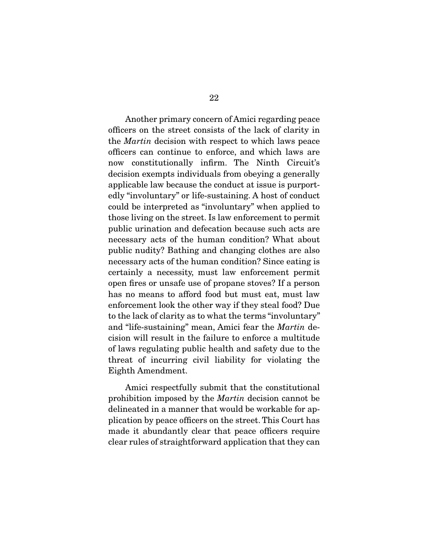Another primary concern of Amici regarding peace officers on the street consists of the lack of clarity in the *Martin* decision with respect to which laws peace officers can continue to enforce, and which laws are now constitutionally infirm. The Ninth Circuit's decision exempts individuals from obeying a generally applicable law because the conduct at issue is purportedly "involuntary" or life-sustaining. A host of conduct could be interpreted as "involuntary" when applied to those living on the street. Is law enforcement to permit public urination and defecation because such acts are necessary acts of the human condition? What about public nudity? Bathing and changing clothes are also necessary acts of the human condition? Since eating is certainly a necessity, must law enforcement permit open fires or unsafe use of propane stoves? If a person has no means to afford food but must eat, must law enforcement look the other way if they steal food? Due to the lack of clarity as to what the terms "involuntary" and "life-sustaining" mean, Amici fear the *Martin* decision will result in the failure to enforce a multitude of laws regulating public health and safety due to the threat of incurring civil liability for violating the Eighth Amendment.

 Amici respectfully submit that the constitutional prohibition imposed by the *Martin* decision cannot be delineated in a manner that would be workable for application by peace officers on the street. This Court has made it abundantly clear that peace officers require clear rules of straightforward application that they can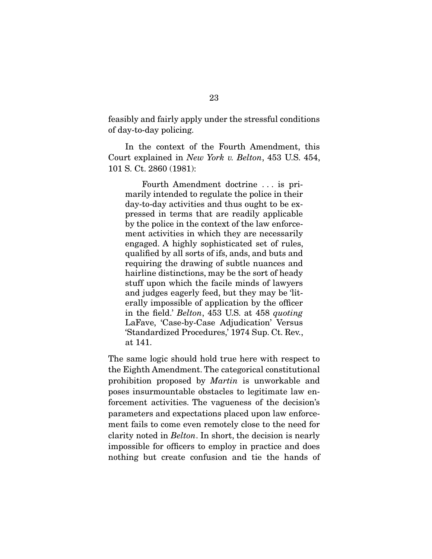feasibly and fairly apply under the stressful conditions of day-to-day policing.

 In the context of the Fourth Amendment, this Court explained in *New York v. Belton*, 453 U.S. 454, 101 S. Ct. 2860 (1981):

 Fourth Amendment doctrine . . . is primarily intended to regulate the police in their day-to-day activities and thus ought to be expressed in terms that are readily applicable by the police in the context of the law enforcement activities in which they are necessarily engaged. A highly sophisticated set of rules, qualified by all sorts of ifs, ands, and buts and requiring the drawing of subtle nuances and hairline distinctions, may be the sort of heady stuff upon which the facile minds of lawyers and judges eagerly feed, but they may be 'literally impossible of application by the officer in the field.' *Belton*, 453 U.S. at 458 *quoting* LaFave, 'Case-by-Case Adjudication' Versus 'Standardized Procedures,' 1974 Sup. Ct. Rev., at 141.

The same logic should hold true here with respect to the Eighth Amendment. The categorical constitutional prohibition proposed by *Martin* is unworkable and poses insurmountable obstacles to legitimate law enforcement activities. The vagueness of the decision's parameters and expectations placed upon law enforcement fails to come even remotely close to the need for clarity noted in *Belton*. In short, the decision is nearly impossible for officers to employ in practice and does nothing but create confusion and tie the hands of